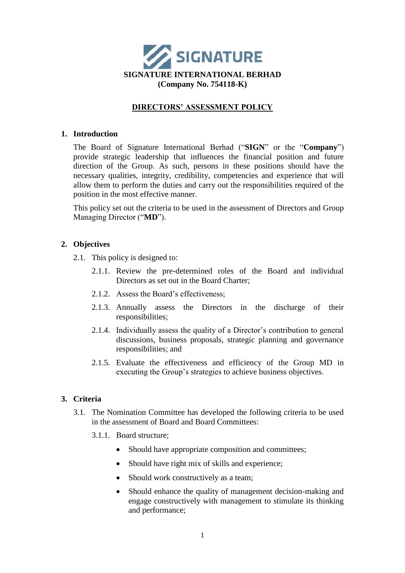

# **DIRECTORS' ASSESSMENT POLICY**

#### **1. Introduction**

The Board of Signature International Berhad ("**SIGN**" or the "**Company**") provide strategic leadership that influences the financial position and future direction of the Group. As such, persons in these positions should have the necessary qualities, integrity, credibility, competencies and experience that will allow them to perform the duties and carry out the responsibilities required of the position in the most effective manner.

This policy set out the criteria to be used in the assessment of Directors and Group Managing Director ("**MD**").

#### **2. Objectives**

- 2.1. This policy is designed to:
	- 2.1.1. Review the pre-determined roles of the Board and individual Directors as set out in the Board Charter;
	- 2.1.2. Assess the Board's effectiveness;
	- 2.1.3. Annually assess the Directors in the discharge of their responsibilities;
	- 2.1.4. Individually assess the quality of a Director's contribution to general discussions, business proposals, strategic planning and governance responsibilities; and
	- 2.1.5. Evaluate the effectiveness and efficiency of the Group MD in executing the Group's strategies to achieve business objectives.

#### **3. Criteria**

- 3.1. The Nomination Committee has developed the following criteria to be used in the assessment of Board and Board Committees:
	- 3.1.1. Board structure;
		- Should have appropriate composition and committees;
		- Should have right mix of skills and experience;
		- Should work constructively as a team;
		- Should enhance the quality of management decision-making and engage constructively with management to stimulate its thinking and performance;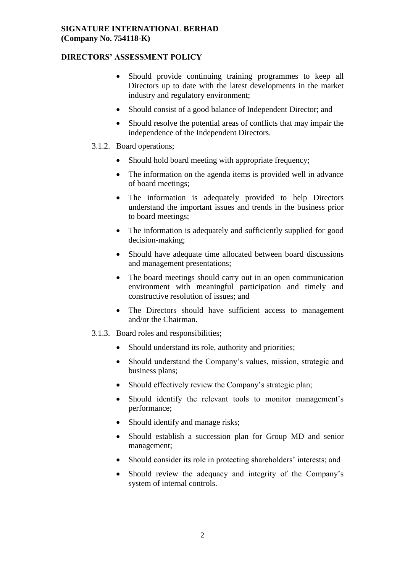# **DIRECTORS' ASSESSMENT POLICY**

- Should provide continuing training programmes to keep all Directors up to date with the latest developments in the market industry and regulatory environment;
- Should consist of a good balance of Independent Director; and
- Should resolve the potential areas of conflicts that may impair the independence of the Independent Directors.
- 3.1.2. Board operations;
	- Should hold board meeting with appropriate frequency:
	- The information on the agenda items is provided well in advance of board meetings;
	- The information is adequately provided to help Directors understand the important issues and trends in the business prior to board meetings;
	- The information is adequately and sufficiently supplied for good decision-making;
	- Should have adequate time allocated between board discussions and management presentations;
	- The board meetings should carry out in an open communication environment with meaningful participation and timely and constructive resolution of issues; and
	- The Directors should have sufficient access to management and/or the Chairman.
- 3.1.3. Board roles and responsibilities;
	- Should understand its role, authority and priorities;
	- Should understand the Company's values, mission, strategic and business plans;
	- Should effectively review the Company's strategic plan:
	- Should identify the relevant tools to monitor management's performance;
	- Should identify and manage risks;
	- Should establish a succession plan for Group MD and senior management;
	- Should consider its role in protecting shareholders' interests; and
	- Should review the adequacy and integrity of the Company's system of internal controls.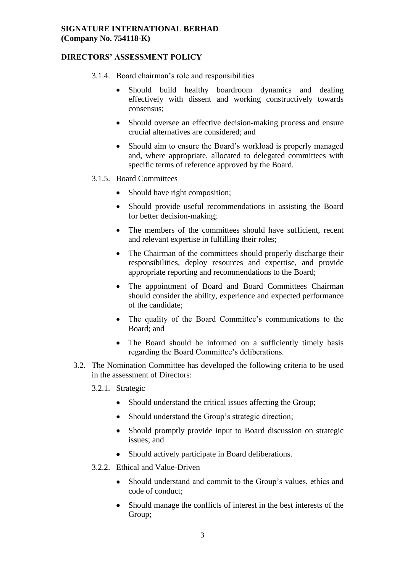# **DIRECTORS' ASSESSMENT POLICY**

- 3.1.4. Board chairman's role and responsibilities
	- Should build healthy boardroom dynamics and dealing effectively with dissent and working constructively towards consensus;
	- Should oversee an effective decision-making process and ensure crucial alternatives are considered; and
	- Should aim to ensure the Board's workload is properly managed and, where appropriate, allocated to delegated committees with specific terms of reference approved by the Board.
- 3.1.5. Board Committees
	- Should have right composition;
	- Should provide useful recommendations in assisting the Board for better decision-making;
	- The members of the committees should have sufficient, recent and relevant expertise in fulfilling their roles;
	- The Chairman of the committees should properly discharge their responsibilities, deploy resources and expertise, and provide appropriate reporting and recommendations to the Board;
	- The appointment of Board and Board Committees Chairman should consider the ability, experience and expected performance of the candidate;
	- The quality of the Board Committee's communications to the Board; and
	- The Board should be informed on a sufficiently timely basis regarding the Board Committee's deliberations.
- 3.2. The Nomination Committee has developed the following criteria to be used in the assessment of Directors:

3.2.1. Strategic

- Should understand the critical issues affecting the Group;
- Should understand the Group's strategic direction;
- Should promptly provide input to Board discussion on strategic issues; and
- Should actively participate in Board deliberations.
- 3.2.2. Ethical and Value-Driven
	- Should understand and commit to the Group's values, ethics and code of conduct;
	- Should manage the conflicts of interest in the best interests of the Group;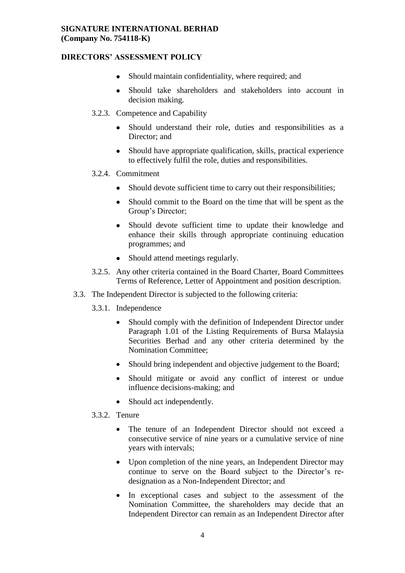## **DIRECTORS' ASSESSMENT POLICY**

- Should maintain confidentiality, where required; and
- Should take shareholders and stakeholders into account in decision making.
- 3.2.3. Competence and Capability
	- Should understand their role, duties and responsibilities as a Director; and
	- Should have appropriate qualification, skills, practical experience to effectively fulfil the role, duties and responsibilities.
- 3.2.4. Commitment
	- Should devote sufficient time to carry out their responsibilities;
	- Should commit to the Board on the time that will be spent as the Group's Director;
	- Should devote sufficient time to update their knowledge and enhance their skills through appropriate continuing education programmes; and
	- Should attend meetings regularly.
- 3.2.5. Any other criteria contained in the Board Charter, Board Committees Terms of Reference, Letter of Appointment and position description.
- 3.3. The Independent Director is subjected to the following criteria:
	- 3.3.1. Independence
		- Should comply with the definition of Independent Director under Paragraph 1.01 of the Listing Requirements of Bursa Malaysia Securities Berhad and any other criteria determined by the Nomination Committee;
		- Should bring independent and objective judgement to the Board:
		- Should mitigate or avoid any conflict of interest or undue influence decisions-making; and
		- Should act independently.
	- 3.3.2. Tenure
		- The tenure of an Independent Director should not exceed a consecutive service of nine years or a cumulative service of nine years with intervals;
		- Upon completion of the nine years, an Independent Director may continue to serve on the Board subject to the Director's redesignation as a Non-Independent Director; and
		- In exceptional cases and subject to the assessment of the Nomination Committee, the shareholders may decide that an Independent Director can remain as an Independent Director after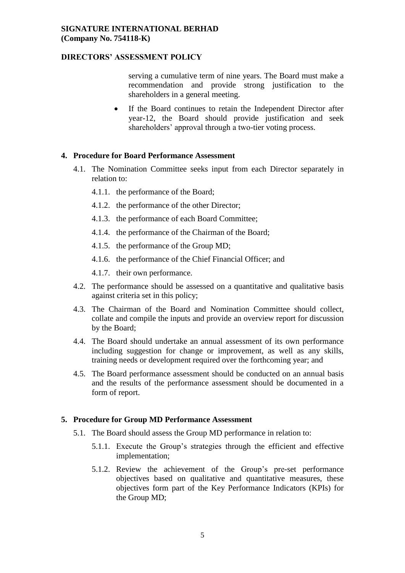#### **DIRECTORS' ASSESSMENT POLICY**

serving a cumulative term of nine years. The Board must make a recommendation and provide strong justification to the shareholders in a general meeting.

 If the Board continues to retain the Independent Director after year-12, the Board should provide justification and seek shareholders' approval through a two-tier voting process.

#### **4. Procedure for Board Performance Assessment**

- 4.1. The Nomination Committee seeks input from each Director separately in relation to:
	- 4.1.1. the performance of the Board;
	- 4.1.2. the performance of the other Director;
	- 4.1.3. the performance of each Board Committee;
	- 4.1.4. the performance of the Chairman of the Board;
	- 4.1.5. the performance of the Group MD;
	- 4.1.6. the performance of the Chief Financial Officer; and
	- 4.1.7. their own performance.
- 4.2. The performance should be assessed on a quantitative and qualitative basis against criteria set in this policy;
- 4.3. The Chairman of the Board and Nomination Committee should collect, collate and compile the inputs and provide an overview report for discussion by the Board;
- 4.4. The Board should undertake an annual assessment of its own performance including suggestion for change or improvement, as well as any skills, training needs or development required over the forthcoming year; and
- 4.5. The Board performance assessment should be conducted on an annual basis and the results of the performance assessment should be documented in a form of report.

#### **5. Procedure for Group MD Performance Assessment**

- 5.1. The Board should assess the Group MD performance in relation to:
	- 5.1.1. Execute the Group's strategies through the efficient and effective implementation;
	- 5.1.2. Review the achievement of the Group's pre-set performance objectives based on qualitative and quantitative measures, these objectives form part of the Key Performance Indicators (KPIs) for the Group MD;